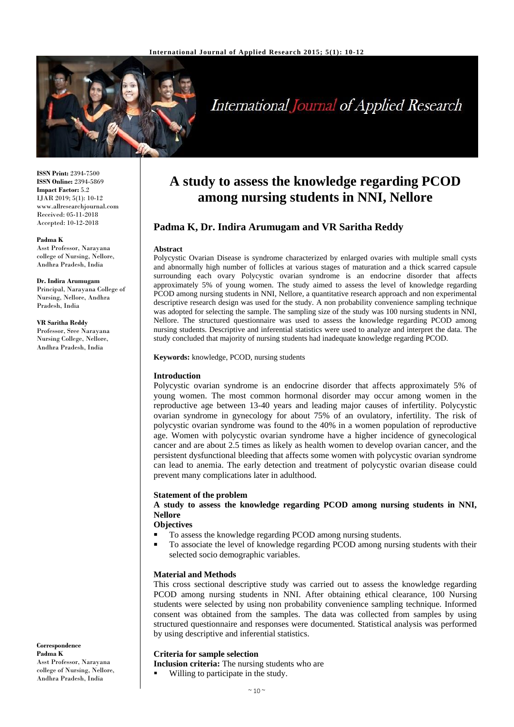

# **International Journal of Applied Research**

**ISSN Print:** 2394-7500 **ISSN Online:** 2394-5869 **Impact Factor:** 5.2 IJAR 2019; 5(1): 10-12 www.allresearchjournal.com Received: 05-11-2018 Accepted: 10-12-2018

#### **Padma K**

Asst Professor, Narayana college of Nursing, Nellore, Andhra Pradesh, India

#### **Dr. Indira Arumugam**

Principal, Narayana College of Nursing, Nellore, Andhra Pradesh, India

**VR Saritha Reddy** Professor, Sree Narayana Nursing College, Nellore, Andhra Pradesh, India

# **A study to assess the knowledge regarding PCOD among nursing students in NNI, Nellore**

# **Padma K, Dr. Indira Arumugam and VR Saritha Reddy**

#### **Abstract**

Polycystic Ovarian Disease is syndrome characterized by enlarged ovaries with multiple small cysts and abnormally high number of follicles at various stages of maturation and a thick scarred capsule surrounding each ovary Polycystic ovarian syndrome is an endocrine disorder that affects approximately 5% of young women. The study aimed to assess the level of knowledge regarding PCOD among nursing students in NNI, Nellore, a quantitative research approach and non experimental descriptive research design was used for the study. A non probability convenience sampling technique was adopted for selecting the sample. The sampling size of the study was 100 nursing students in NNI, Nellore. The structured questionnaire was used to assess the knowledge regarding PCOD among nursing students. Descriptive and inferential statistics were used to analyze and interpret the data. The study concluded that majority of nursing students had inadequate knowledge regarding PCOD.

**Keywords:** knowledge, PCOD, nursing students

# **Introduction**

Polycystic ovarian syndrome is an endocrine disorder that affects approximately 5% of young women. The most common hormonal disorder may occur among women in the reproductive age between 13-40 years and leading major causes of infertility. Polycystic ovarian syndrome in gynecology for about 75% of an ovulatory, infertility. The risk of polycystic ovarian syndrome was found to the 40% in a women population of reproductive age. Women with polycystic ovarian syndrome have a higher incidence of gynecological cancer and are about 2.5 times as likely as health women to develop ovarian cancer, and the persistent dysfunctional bleeding that affects some women with polycystic ovarian syndrome can lead to anemia. The early detection and treatment of polycystic ovarian disease could prevent many complications later in adulthood.

#### **Statement of the problem**

**A study to assess the knowledge regarding PCOD among nursing students in NNI, Nellore**

**Objectives**

- To assess the knowledge regarding PCOD among nursing students.
- To associate the level of knowledge regarding PCOD among nursing students with their selected socio demographic variables.

#### **Material and Methods**

This cross sectional descriptive study was carried out to assess the knowledge regarding PCOD among nursing students in NNI. After obtaining ethical clearance, 100 Nursing students were selected by using non probability convenience sampling technique. Informed consent was obtained from the samples. The data was collected from samples by using structured questionnaire and responses were documented. Statistical analysis was performed by using descriptive and inferential statistics.

# **Criteria for sample selection**

- **Inclusion criteria:** The nursing students who are
	- Willing to participate in the study.

**Correspondence Padma K** Asst Professor, Narayana college of Nursing, Nellore, Andhra Pradesh, India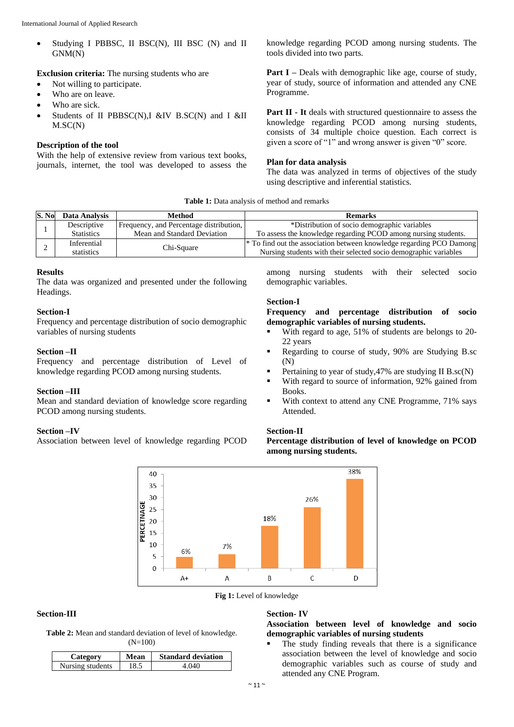• Studying I PBBSC, II BSC(N), III BSC (N) and II GNM(N)

**Exclusion criteria:** The nursing students who are

- Not willing to participate.
- Who are on leave.
- Who are sick.
- $\bullet$  Students of II PBBSC(N), I &IV B.SC(N) and I &II M.SC(N)

# **Description of the tool**

With the help of extensive review from various text books, journals, internet, the tool was developed to assess the knowledge regarding PCOD among nursing students. The tools divided into two parts.

**Part I** – Deals with demographic like age, course of study, year of study, source of information and attended any CNE Programme.

**Part II - It** deals with structured questionnaire to assess the knowledge regarding PCOD among nursing students, consists of 34 multiple choice question. Each correct is given a score of "1" and wrong answer is given "0" score.

#### **Plan for data analysis**

The data was analyzed in terms of objectives of the study using descriptive and inferential statistics.

| <b>Table 1:</b> Data analysis of method and remarks |  |
|-----------------------------------------------------|--|
|-----------------------------------------------------|--|

| S. No | Data Analysis     | Method                                  | <b>Remarks</b>                                                                  |
|-------|-------------------|-----------------------------------------|---------------------------------------------------------------------------------|
|       | Descriptive       | Frequency, and Percentage distribution, | *Distribution of socio demographic variables                                    |
|       | <b>Statistics</b> | Mean and Standard Deviation             | To assess the knowledge regarding PCOD among nursing students.                  |
|       | Inferential       | Chi-Square                              | <sup>*</sup> To find out the association between knowledge regarding PCO Damong |
|       | statistics        |                                         | Nursing students with their selected socio demographic variables                |

# **Results**

The data was organized and presented under the following Headings.

#### **Section-I**

Frequency and percentage distribution of socio demographic variables of nursing students

### **Section –II**

Frequency and percentage distribution of Level of knowledge regarding PCOD among nursing students.

# **Section –III**

Mean and standard deviation of knowledge score regarding PCOD among nursing students.

#### **Section –IV**

Association between level of knowledge regarding PCOD

among nursing students with their selected socio demographic variables.

### **Section-I**

**Frequency and percentage distribution of socio demographic variables of nursing students.**

- With regard to age, 51% of students are belongs to 20- 22 years
- Regarding to course of study, 90% are Studying B.sc (N)
- Pertaining to year of study,47% are studying II B.sc(N)
- With regard to source of information, 92% gained from Books.
- With context to attend any CNE Programme, 71% says Attended.

#### **Section-II**

**Percentage distribution of level of knowledge on PCOD among nursing students.**



**Fig 1:** Level of knowledge

# **Section-III**

**Table 2:** Mean and standard deviation of level of knowledge. (N=100)

| Category         | Mean | <b>Standard deviation</b> |
|------------------|------|---------------------------|
| Nursing students |      | (140)                     |

#### **Section- IV**

**Association between level of knowledge and socio demographic variables of nursing students**

 The study finding reveals that there is a significance association between the level of knowledge and socio demographic variables such as course of study and attended any CNE Program.